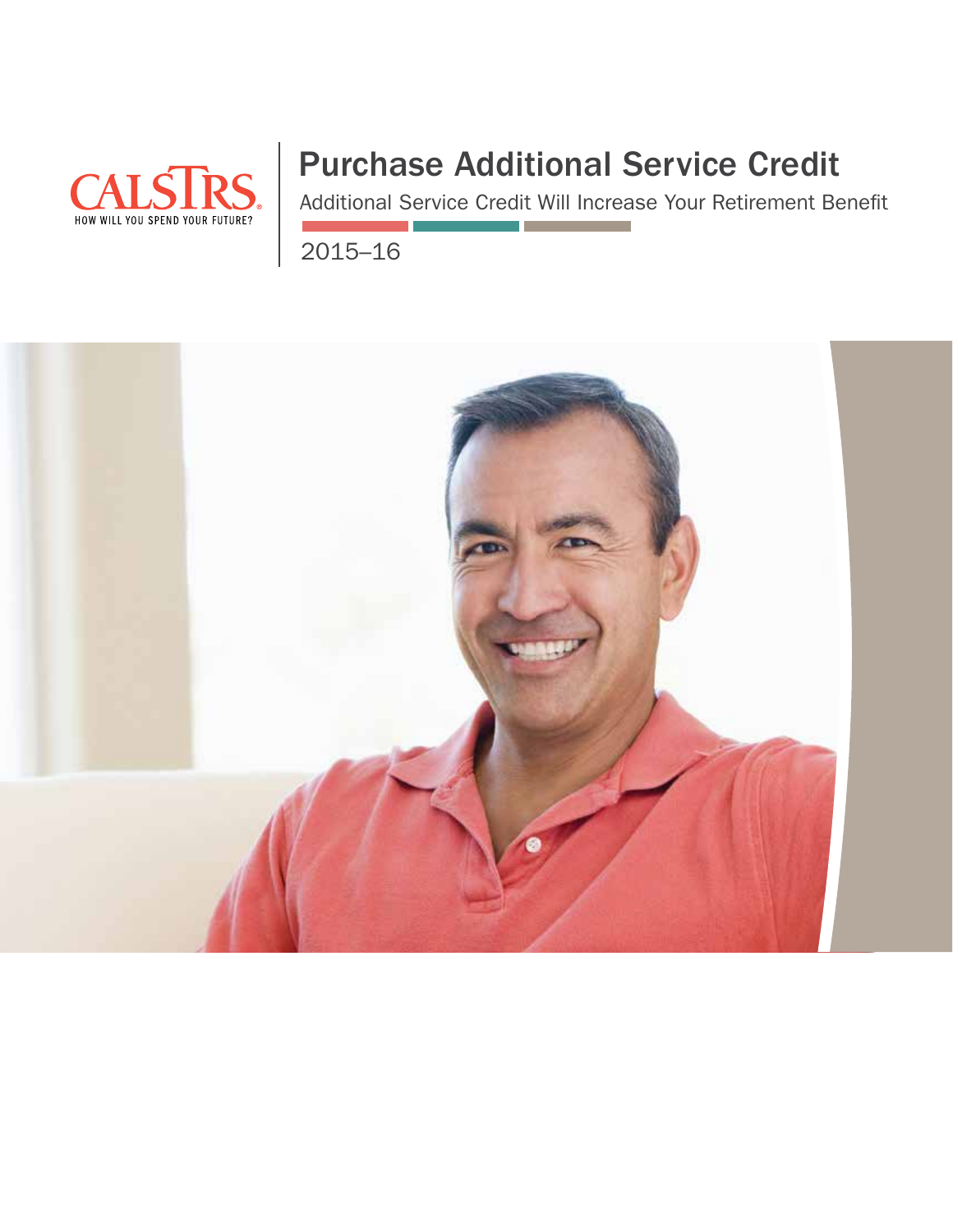

# Purchase Additional Service Credit

Additional Service Credit Will Increase Your Retirement Benefit

2015–16

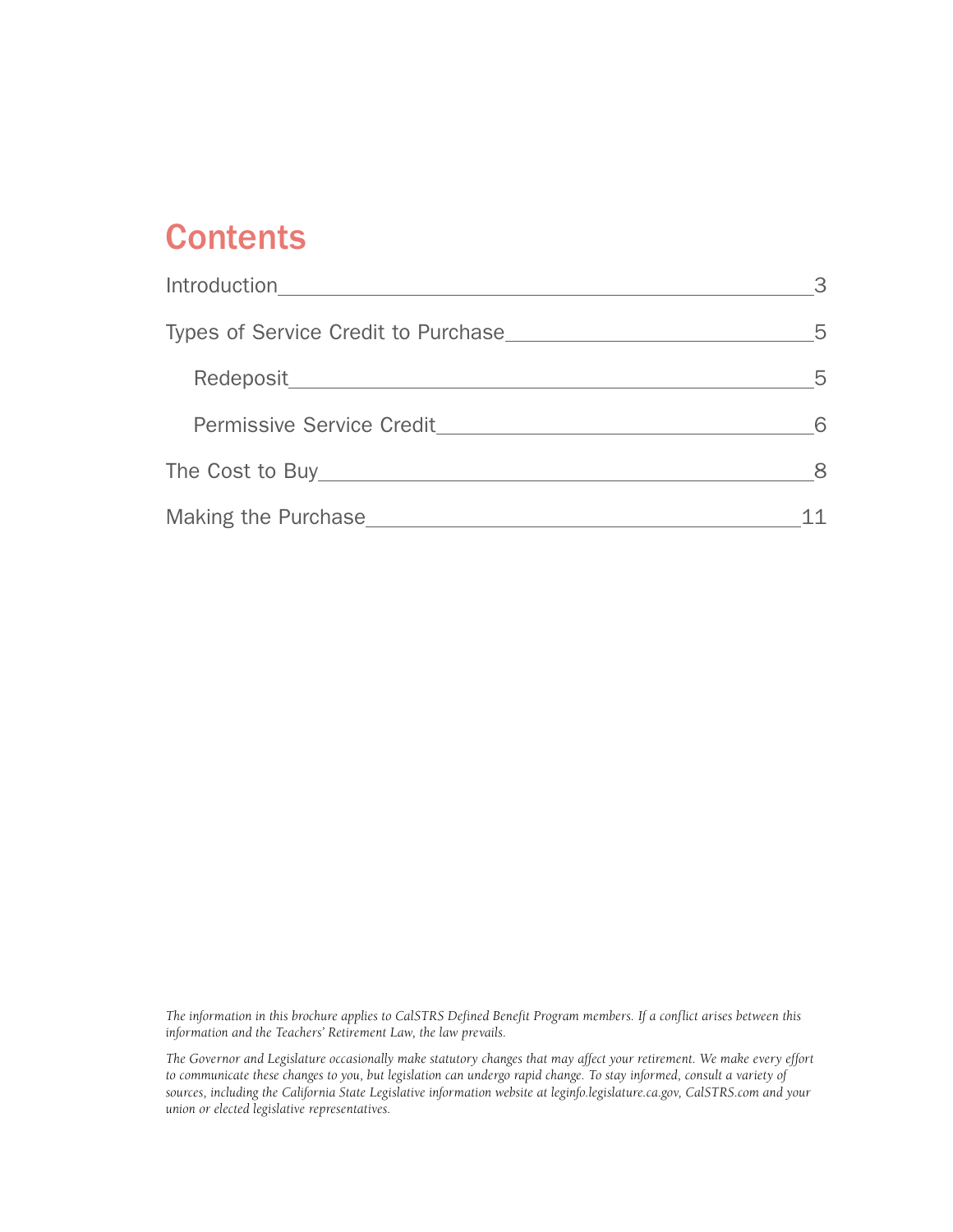# **Contents**

| Introduction                        | 3 |
|-------------------------------------|---|
| Types of Service Credit to Purchase | 5 |
|                                     | 5 |
| <b>Permissive Service Credit</b>    | 6 |
|                                     | 8 |
| Making the Purchase                 |   |

*The information in this brochure applies to CalSTRS Defined Benefit Program members. If a conflict arises between this information and the Teachers' Retirement Law, the law prevails.*

*The Governor and Legislature occasionally make statutory changes that may affect your retirement. We make every effort to communicate these changes to you, but legislation can undergo rapid change. To stay informed, consult a variety of sources, including the California State Legislative information website at [leginfo.legislature.ca.gov](http://leginfo.legislature.ca.gov), [CalSTRS.com](http://calstrs.com) and your union or elected legislative representatives.*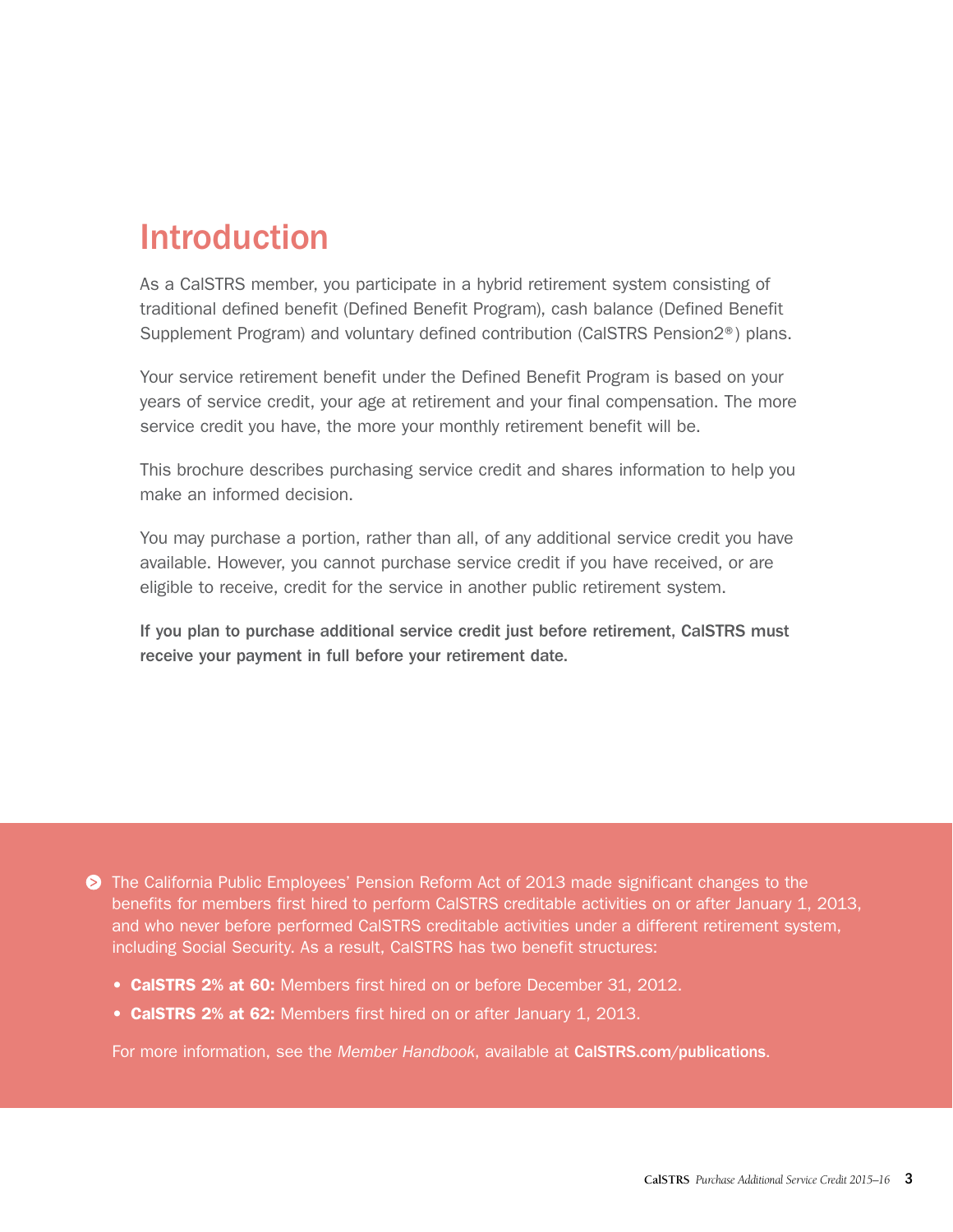# <span id="page-2-0"></span>Introduction

As a CalSTRS member, you participate in a hybrid retirement system consisting of traditional defined benefit (Defined Benefit Program), cash balance (Defined Benefit Supplement Program) and voluntary defined contribution (CalSTRS Pension2®) plans.

Your service retirement benefit under the Defined Benefit Program is based on your years of service credit, your age at retirement and your final compensation. The more service credit you have, the more your monthly retirement benefit will be.

This brochure describes purchasing service credit and shares information to help you make an informed decision.

You may purchase a portion, rather than all, of any additional service credit you have available. However, you cannot purchase service credit if you have received, or are eligible to receive, credit for the service in another public retirement system.

If you plan to purchase additional service credit just before retirement, CalSTRS must receive your payment in full before your retirement date.

The California Public Employees' Pension Reform Act of 2013 made significant changes to the benefits for members first hired to perform CalSTRS creditable activities on or after January 1, 2013, and who never before performed CalSTRS creditable activities under a different retirement system, including Social Security. As a result, CalSTRS has two benefit structures:

- CalSTRS 2% at 60: Members first hired on or before December 31, 2012.
- CalSTRS 2% at 62: Members first hired on or after January 1, 2013.

For more information, see the *Member Handbook*, available at [CalSTRS.com/publications](http://CalSTRS.com/publications).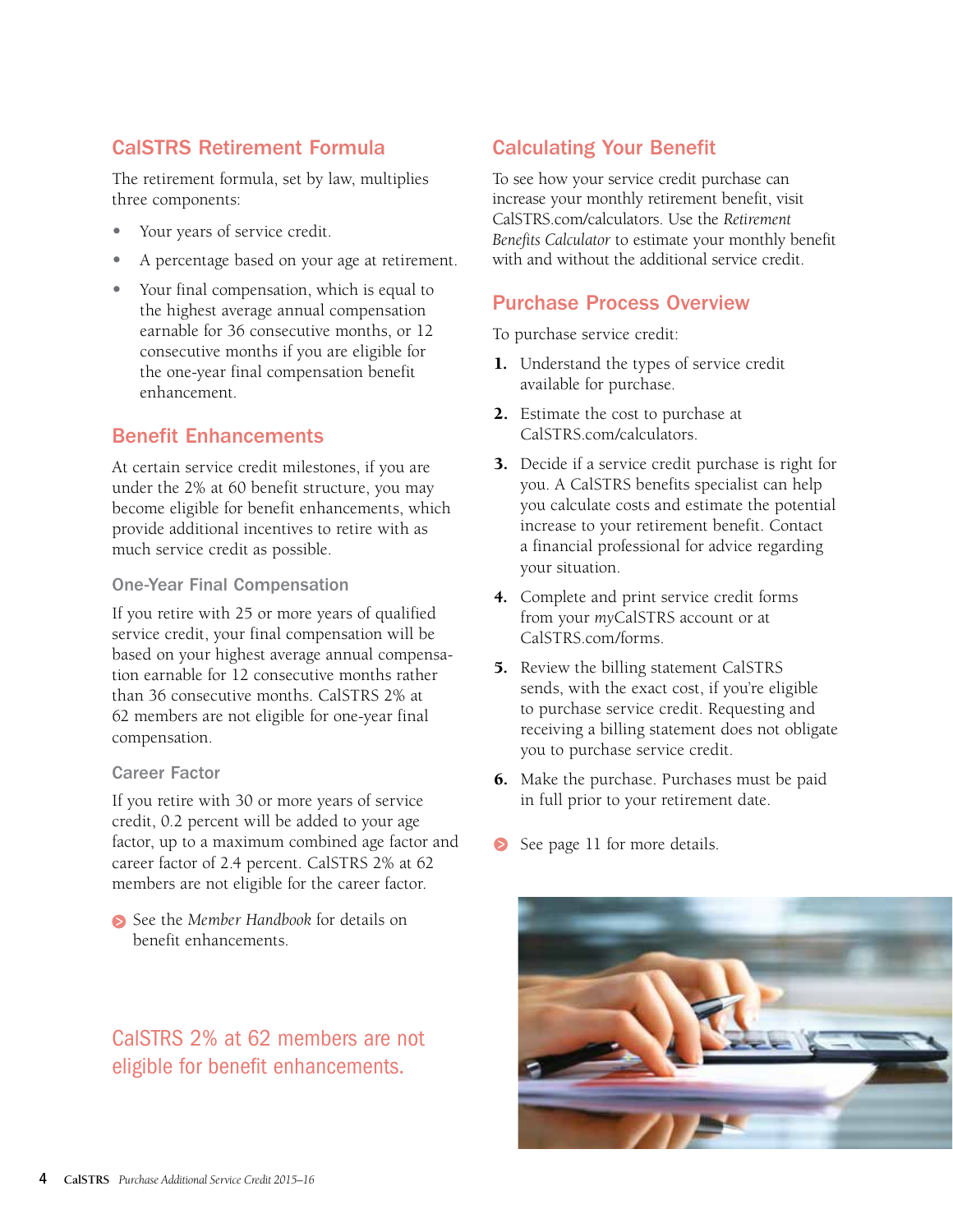# CalSTRS Retirement Formula

The retirement formula, set by law, multiplies three components:

- **•** Your years of service credit.
- **•** A percentage based on your age at retirement.
- **•** Your final compensation, which is equal to the highest average annual compensation earnable for 36 consecutive months, or 12 consecutive months if you are eligible for the one-year final compensation benefit enhancement.

### Benefit Enhancements

At certain service credit milestones, if you are under the 2% at 60 benefit structure, you may become eligible for benefit enhancements, which provide additional incentives to retire with as much service credit as possible.

### One-Year Final Compensation

If you retire with 25 or more years of qualified service credit, your final compensation will be based on your highest average annual compensation earnable for 12 consecutive months rather than 36 consecutive months. CalSTRS 2% at 62 members are not eligible for one-year final compensation.

#### Career Factor

If you retire with 30 or more years of service credit, 0.2 percent will be added to your age factor, up to a maximum combined age factor and career factor of 2.4 percent. CalSTRS 2% at 62 members are not eligible for the career factor.

See the *[Member Handbook](http://www.calstrs.com/calstrs-member-handbook)* for details on benefit enhancements.

# CalSTRS 2% at 62 members are not eligible for benefit enhancements.

# Calculating Your Benefit

To see how your service credit purchase can increase your monthly retirement benefit, visit [CalSTRS.com/calculators.](http://CalSTRS.com/calculators) Use the *Retirement Benefits Calculator* to estimate your monthly benefit with and without the additional service credit.

### Purchase Process Overview

To purchase service credit:

- 1. Understand the types of service credit available for purchase.
- 2. Estimate the cost to purchase at [CalSTRS.com/calculators.](http://CalSTRS.com/calculators)
- 3. Decide if a service credit purchase is right for you. A CalSTRS benefits specialist can help you calculate costs and estimate the potential increase to your retirement benefit. Contact a financial professional for advice regarding your situation.
- 4. Complete and print service credit forms from your *my*CalSTRS account or at [CalSTRS.com/forms](http://CalSTRS.com/forms).
- 5. Review the billing statement CalSTRS sends, with the exact cost, if you're eligible to purchase service credit. Requesting and receiving a billing statement does not obligate you to purchase service credit.
- 6. Make the purchase. Purchases must be paid in full prior to your retirement date.
- [See page 11 for](#page-10-0) more details.

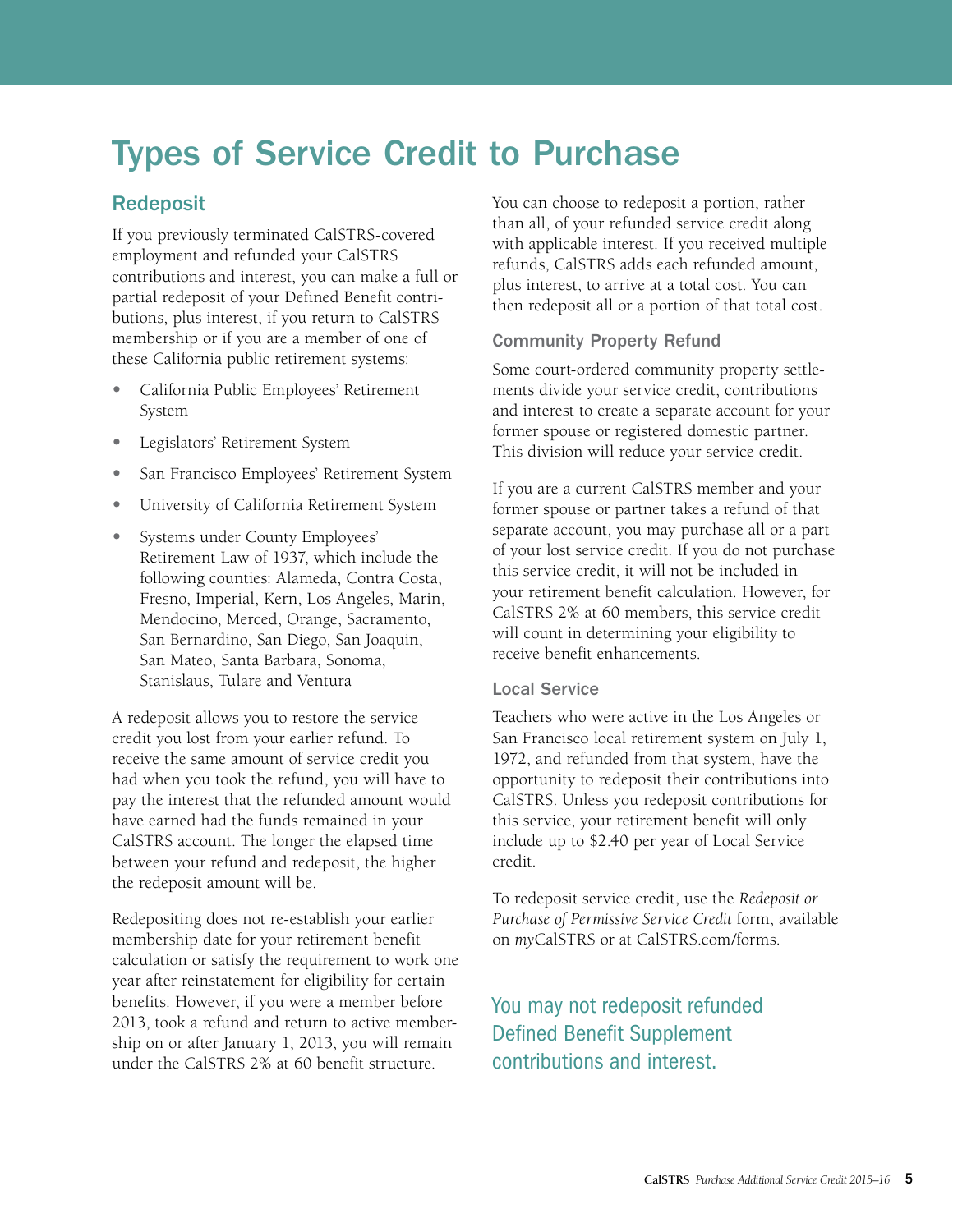# <span id="page-4-0"></span>Types of Service Credit to Purchase

# Redeposit

If you previously terminated CalSTRS-covered employment and refunded your CalSTRS contributions and interest, you can make a full or partial redeposit of your Defined Benefit contributions, plus interest, if you return to CalSTRS membership or if you are a member of one of these California public retirement systems:

- **•** California Public Employees' Retirement System
- **•** Legislators' Retirement System
- **•** San Francisco Employees' Retirement System
- **•** University of California Retirement System
- **•** Systems under County Employees' Retirement Law of 1937, which include the following counties: Alameda, Contra Costa, Fresno, Imperial, Kern, Los Angeles, Marin, Mendocino, Merced, Orange, Sacramento, San Bernardino, San Diego, San Joaquin, San Mateo, Santa Barbara, Sonoma, Stanislaus, Tulare and Ventura

A redeposit allows you to restore the service credit you lost from your earlier refund. To receive the same amount of service credit you had when you took the refund, you will have to pay the interest that the refunded amount would have earned had the funds remained in your CalSTRS account. The longer the elapsed time between your refund and redeposit, the higher the redeposit amount will be.

Redepositing does not re-establish your earlier membership date for your retirement benefit calculation or satisfy the requirement to work one year after reinstatement for eligibility for certain benefits. However, if you were a member before 2013, took a refund and return to active membership on or after January 1, 2013, you will remain under the CalSTRS 2% at 60 benefit structure.

You can choose to redeposit a portion, rather than all, of your refunded service credit along with applicable interest. If you received multiple refunds, CalSTRS adds each refunded amount, plus interest, to arrive at a total cost. You can then redeposit all or a portion of that total cost.

### Community Property Refund

Some court-ordered community property settlements divide your service credit, contributions and interest to create a separate account for your former spouse or registered domestic partner. This division will reduce your service credit.

If you are a current CalSTRS member and your former spouse or partner takes a refund of that separate account, you may purchase all or a part of your lost service credit. If you do not purchase this service credit, it will not be included in your retirement benefit calculation. However, for CalSTRS 2% at 60 members, this service credit will count in determining your eligibility to receive benefit enhancements.

#### Local Service

Teachers who were active in the Los Angeles or San Francisco local retirement system on July 1, 1972, and refunded from that system, have the opportunity to redeposit their contributions into CalSTRS. Unless you redeposit contributions for this service, your retirement benefit will only include up to \$2.40 per year of Local Service credit.

To redeposit service credit, use the *Redeposit or Purchase of Permissive Service Credit* form, available on *my*[CalSTRS](http://myCalSTRS.com) or at [CalSTRS.com/forms.](http://CalSTRS.com/forms)

You may not redeposit refunded Defined Benefit Supplement contributions and interest.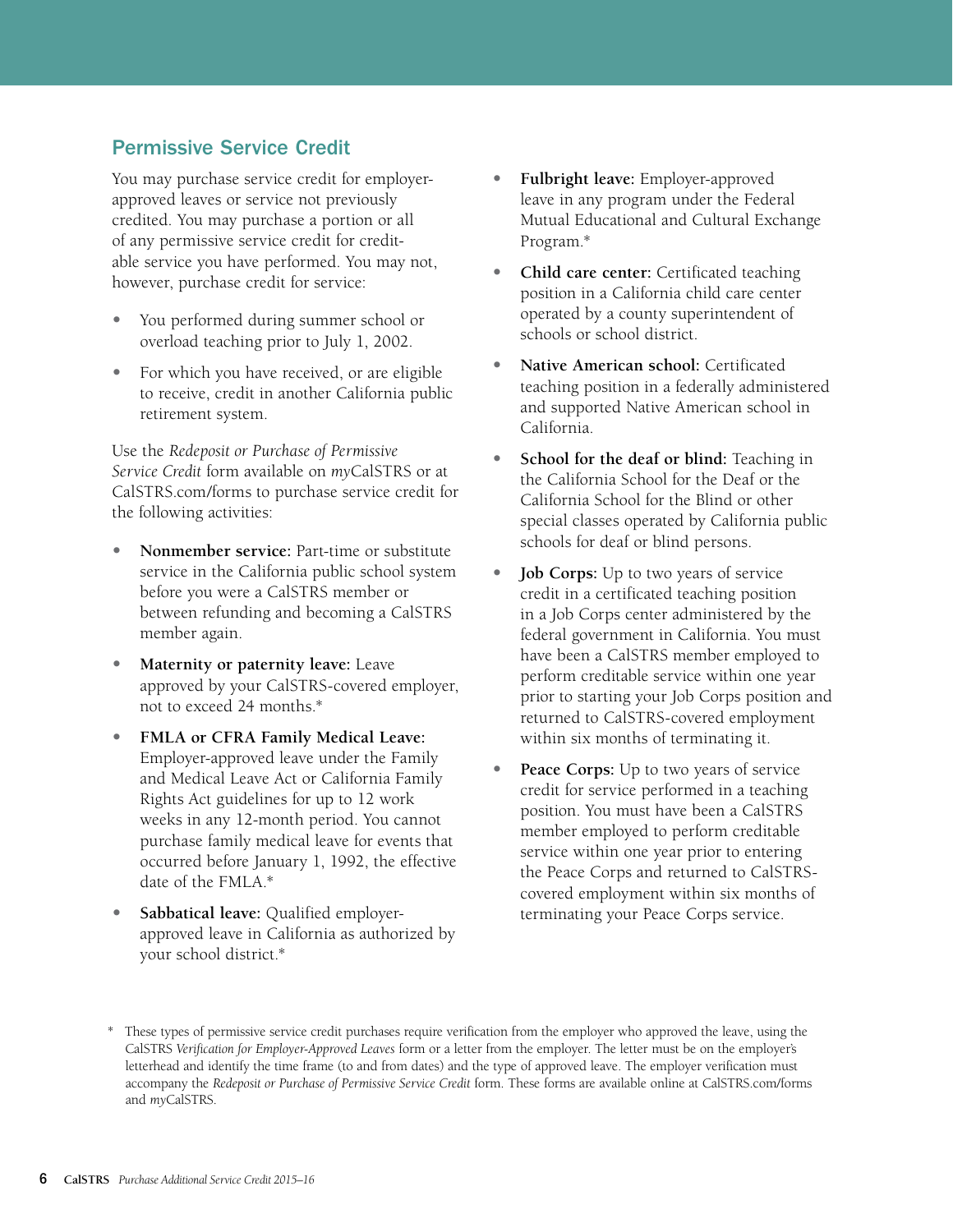# <span id="page-5-0"></span>Permissive Service Credit

You may purchase service credit for employerapproved leaves or service not previously credited. You may purchase a portion or all of any permissive service credit for creditable service you have performed. You may not, however, purchase credit for service:

- **•** You performed during summer school or overload teaching prior to July 1, 2002.
- For which you have received, or are eligible to receive, credit in another California public retirement system.

Use the *Redeposit or Purchase of Permissive Service Credit* form available on *my*[CalSTRS](http://myCalSTRS.com) or at [CalSTRS.com/forms](http://CalSTRS.com/forms) to purchase service credit for the following activities:

- **• Nonmember service:** Part-time or substitute service in the California public school system before you were a CalSTRS member or between refunding and becoming a CalSTRS member again.
- **• Maternity or paternity leave:** Leave approved by your CalSTRS-covered employer, not to exceed 24 months.\*
- **• FMLA or CFRA Family Medical Leave:**  Employer-approved leave under the Family and Medical Leave Act or California Family Rights Act guidelines for up to 12 work weeks in any 12-month period. You cannot purchase family medical leave for events that occurred before January 1, 1992, the effective date of the FMLA.\*
- **• Sabbatical leave:** Qualified employerapproved leave in California as authorized by your school district.\*
- **• Fulbright leave:** Employer-approved leave in any program under the Federal Mutual Educational and Cultural Exchange Program.\*
- **• Child care center:** Certificated teaching position in a California child care center operated by a county superintendent of schools or school district.
- **• Native American school:** Certificated teaching position in a federally administered and supported Native American school in California.
- **• School for the deaf or blind:** Teaching in the California School for the Deaf or the California School for the Blind or other special classes operated by California public schools for deaf or blind persons.
- **• Job Corps:** Up to two years of service credit in a certificated teaching position in a Job Corps center administered by the federal government in California. You must have been a CalSTRS member employed to perform creditable service within one year prior to starting your Job Corps position and returned to CalSTRS-covered employment within six months of terminating it.
- **• Peace Corps:** Up to two years of service credit for service performed in a teaching position. You must have been a CalSTRS member employed to perform creditable service within one year prior to entering the Peace Corps and returned to CalSTRScovered employment within six months of terminating your Peace Corps service.

These types of permissive service credit purchases require verification from the employer who approved the leave, using the CalSTRS *Verification for Employer-Approved Leaves* form or a letter from the employer. The letter must be on the employer's letterhead and identify the time frame (to and from dates) and the type of approved leave. The employer verification must accompany the *Redeposit or Purchase of Permissive Service Credit* form. These forms are available online at [CalSTRS.com/forms](http://CalSTRS.com/forms)  and *my*[CalSTRS](https://mycalstrs.com).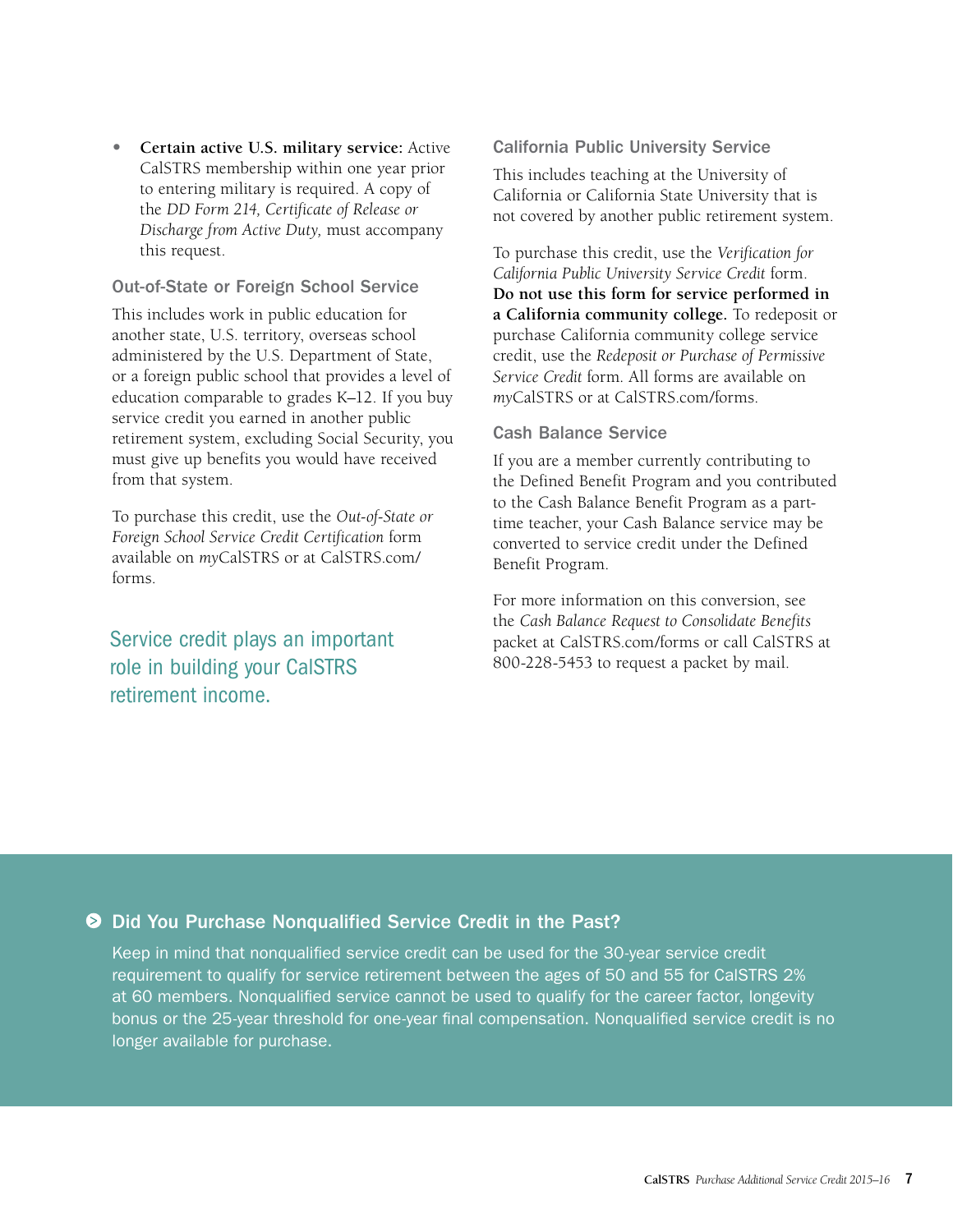**• Certain active U.S. military service:** Active CalSTRS membership within one year prior to entering military is required. A copy of the *DD Form 214, Certificate of Release or Discharge from Active Duty,* must accompany this request.

#### Out-of-State or Foreign School Service

This includes work in public education for another state, U.S. territory, overseas school administered by the U.S. Department of State, or a foreign public school that provides a level of education comparable to grades K–12. If you buy service credit you earned in another public retirement system, excluding Social Security, you must give up benefits you would have received from that system.

To purchase this credit, use the *Out-of-State or Foreign School Service Credit Certification* form available on *my*CalSTRS or at [CalSTRS.com/](http://CalSTRS.com/forms) [forms](http://CalSTRS.com/forms).

# Service credit plays an important role in building your CalSTRS retirement income.

#### California Public University Service

This includes teaching at the University of California or California State University that is not covered by another public retirement system.

To purchase this credit, use the *Verification for California Public University Service Credit* form. **Do not use this form for service performed in a California community college.** To redeposit or purchase California community college service credit, use the *Redeposit or Purchase of Permissive Service Credit* form*.* All forms are available on *my*[CalSTRS](https://mycalstrs.com) or at [CalSTRS.com/forms.](http://CalSTRS.com/forms)

### Cash Balance Service

If you are a member currently contributing to the Defined Benefit Program and you contributed to the Cash Balance Benefit Program as a parttime teacher, your Cash Balance service may be converted to service credit under the Defined Benefit Program.

For more information on this conversion, see the *Cash Balance Request to Consolidate Benefits* packet at [CalSTRS.com/forms](http://CalSTRS.com/forms) or call CalSTRS at 800-228-5453 to request a packet by mail.

### ● Did You Purchase Nonqualified Service Credit in the Past?

Keep in mind that nonqualified service credit can be used for the 30-year service credit requirement to qualify for service retirement between the ages of 50 and 55 for CalSTRS 2% at 60 members. Nonqualified service cannot be used to qualify for the career factor, longevity bonus or the 25-year threshold for one-year final compensation. Nonqualified service credit is no longer available for purchase.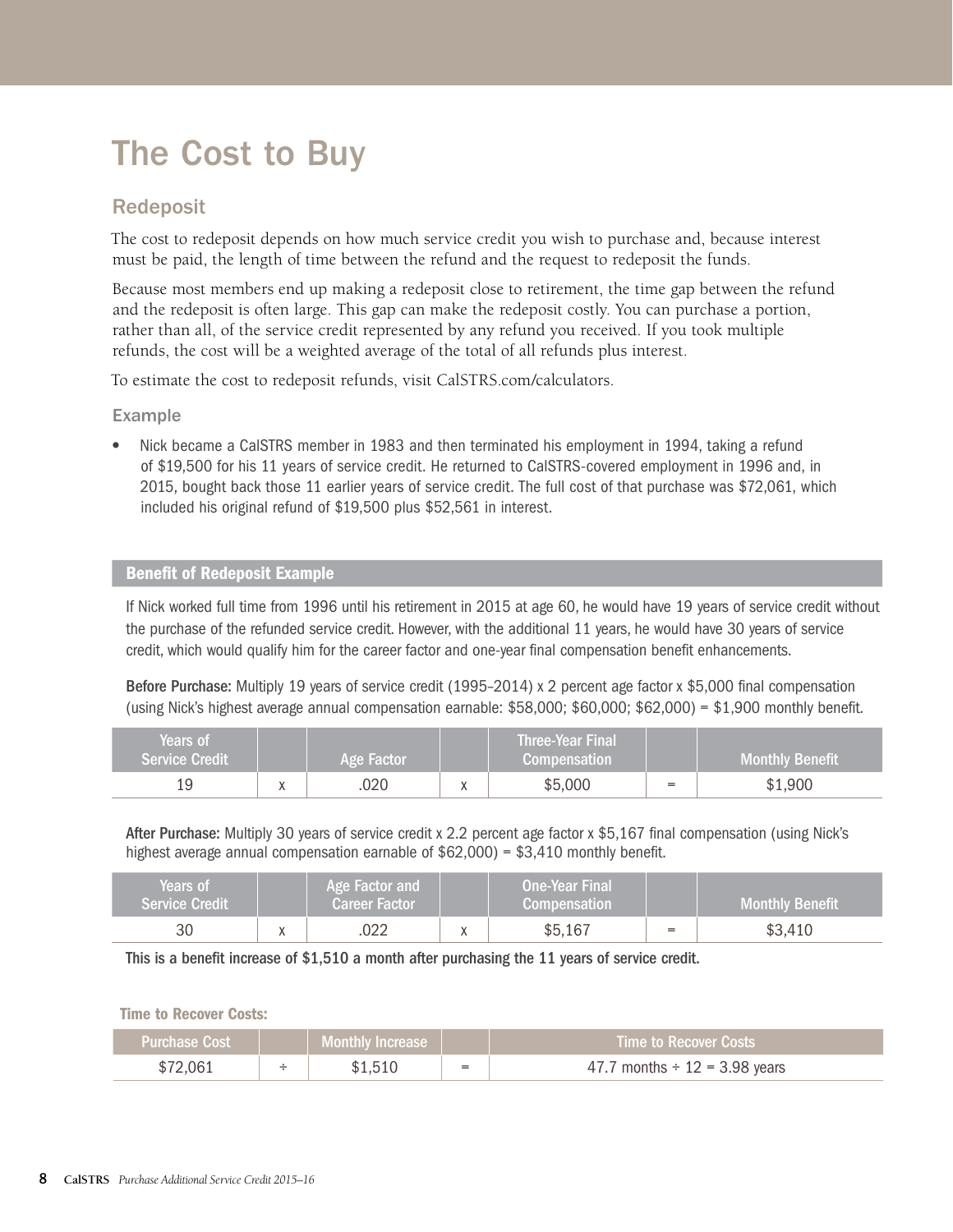# <span id="page-7-0"></span>The Cost to Buy

### Redeposit

The cost to redeposit depends on how much service credit you wish to purchase and, because interest must be paid, the length of time between the refund and the request to redeposit the funds.

Because most members end up making a redeposit close to retirement, the time gap between the refund and the redeposit is often large. This gap can make the redeposit costly. You can purchase a portion, rather than all, of the service credit represented by any refund you received. If you took multiple refunds, the cost will be a weighted average of the total of all refunds plus interest.

To estimate the cost to redeposit refunds, visit [CalSTRS.com/calculators.](http://calstrs.com/calculators)

Example

**•** Nick became a CalSTRS member in 1983 and then terminated his employment in 1994, taking a refund of \$19,500 for his 11 years of service credit. He returned to CalSTRS-covered employment in 1996 and, in 2015, bought back those 11 earlier years of service credit. The full cost of that purchase was \$72,061, which included his original refund of \$19,500 plus \$52,561 in interest.

### Benefit of Redeposit Example

If Nick worked full time from 1996 until his retirement in 2015 at age 60, he would have 19 years of service credit without the purchase of the refunded service credit. However, with the additional 11 years, he would have 30 years of service credit, which would qualify him for the career factor and one-year final compensation benefit enhancements.

Before Purchase: Multiply 19 years of service credit (1995–2014) x 2 percent age factor x \$5,000 final compensation (using Nick's highest average annual compensation earnable: \$58,000; \$60,000; \$62,000) = \$1,900 monthly benefit.

| Years of'<br><b>Service Credit</b> |           | Age Factor | Three-Year Final<br><b>Compensation</b> |     | <b>Monthly Benefit</b> |
|------------------------------------|-----------|------------|-----------------------------------------|-----|------------------------|
|                                    | $\lambda$ | .020       | \$5,000                                 | $=$ | \$1,900                |

After Purchase: Multiply 30 years of service credit x 2.2 percent age factor x \$5,167 final compensation (using Nick's highest average annual compensation earnable of \$62,000) = \$3,410 monthly benefit.

| Years of<br><b>Service Credit</b> | Age Factor and<br><b>Career Factor</b> | <b>One-Year Final</b><br><b>Compensation</b> |     | <b>Monthly Benefit</b> |
|-----------------------------------|----------------------------------------|----------------------------------------------|-----|------------------------|
| 30                                | ገጋጋ                                    | \$5,167                                      | $=$ | \$3,410                |

This is a benefit increase of \$1,510 a month after purchasing the 11 years of service credit.

#### Time to Recover Costs:

| Purchase Cost 1 |   | Monthly Increase |     | <b>Time to Recover Costs</b>       |
|-----------------|---|------------------|-----|------------------------------------|
| \$72 በ <u>ፍ</u> | - |                  | $=$ | 47.7 months $\div$ 12 = 3.98 years |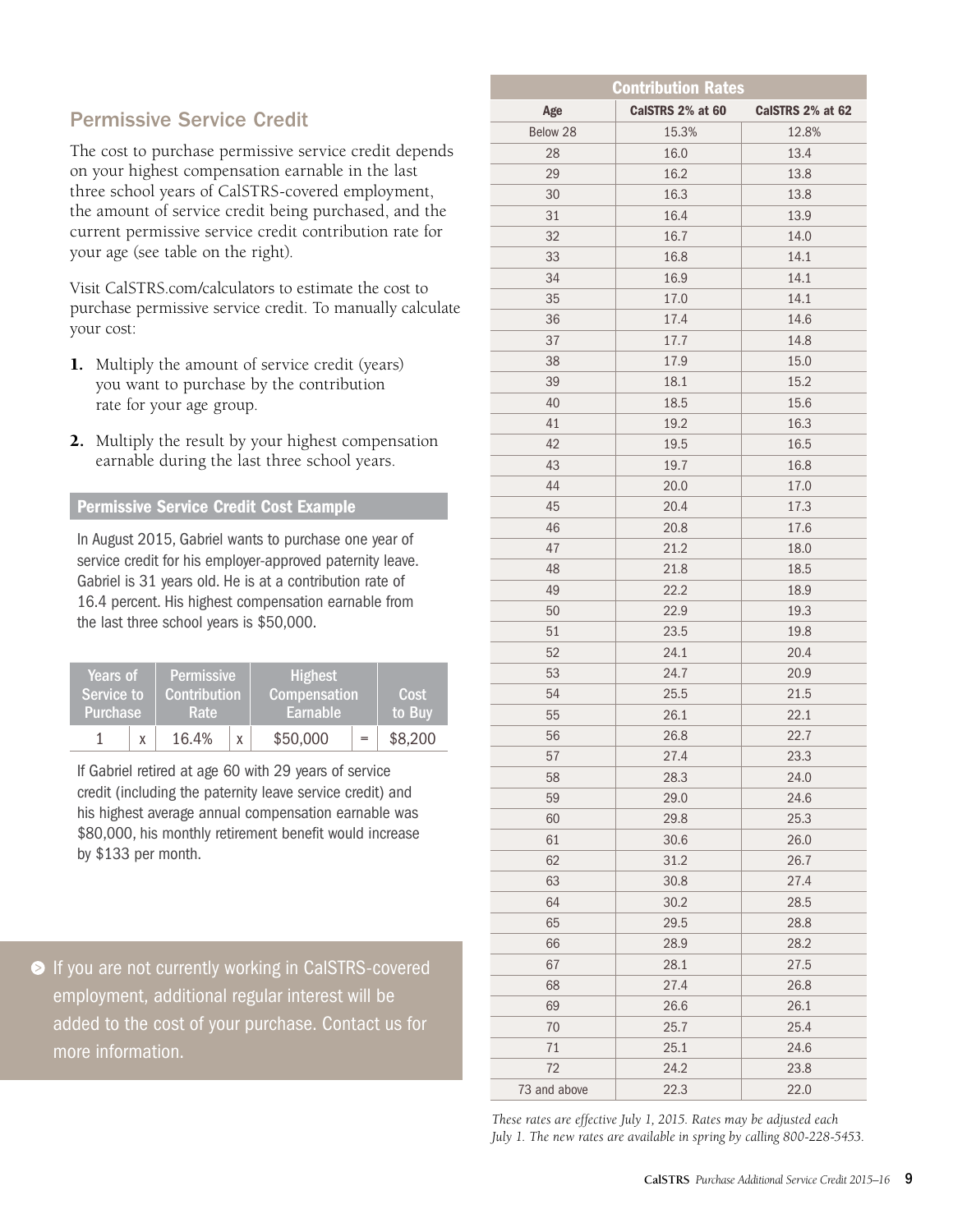# <span id="page-8-0"></span>Permissive Service Credit

The cost to purchase permissive service credit depends on your highest compensation earnable in the last three school years of CalSTRS-covered employment, the amount of service credit being purchased, and the current permissive service credit contribution rate for your age (see table on the right).

Visit CalSTRS.com/calculators to estimate the cost to purchase permissive service credit. To manually calculate your cost:

- 1. Multiply the amount of service credit (years) you want to purchase by the contribution rate for your age group.
- 2. Multiply the result by your highest compensation earnable during the last three school years.

### Permissive Service Credit Cost Example

In August 2015, Gabriel wants to purchase one year of service credit for his employer-approved paternity leave. Gabriel is 31 years old. He is at a contribution rate of 16.4 percent. His highest compensation earnable from the last three school years is \$50,000.

| Service to<br>Purchase | <b>Permissive</b><br><b>Years of</b><br>Contribution<br><b>Rate</b> |       | <b>Highest</b><br>Compensation <sup>1</sup><br>Earnable | Cost<br>to Buv |         |
|------------------------|---------------------------------------------------------------------|-------|---------------------------------------------------------|----------------|---------|
|                        |                                                                     | 16.4% |                                                         | \$50,000       | \$8,200 |

If Gabriel retired at age 60 with 29 years of service credit (including the paternity leave service credit) and his highest average annual compensation earnable was \$80,000, his monthly retirement benefit would increase by \$133 per month.

If you are not currently working in CalSTRS-covered employment, additional regular interest will be added to the cost of your purchase. Contact us for more information.

| <b>Contribution Rates</b> |                  |                  |  |  |  |  |
|---------------------------|------------------|------------------|--|--|--|--|
| Age                       | CalSTRS 2% at 60 | CalSTRS 2% at 62 |  |  |  |  |
| Below 28                  | 15.3%            | 12.8%            |  |  |  |  |
| 28                        | 16.0             | 13.4             |  |  |  |  |
| 29                        | 16.2             | 13.8             |  |  |  |  |
| 30                        | 16.3             | 13.8             |  |  |  |  |
| 31                        | 16.4             | 13.9             |  |  |  |  |
| 32                        | 16.7             | 14.0             |  |  |  |  |
| 33                        | 16.8             | 14.1             |  |  |  |  |
| 34                        | 16.9             | 14.1             |  |  |  |  |
| 35                        | 17.0             | 14.1             |  |  |  |  |
| 36                        | 17.4             | 14.6             |  |  |  |  |
| 37                        | 17.7             | 14.8             |  |  |  |  |
| 38                        | 17.9             | 15.0             |  |  |  |  |
| 39                        | 18.1             | 15.2             |  |  |  |  |
| 40                        | 18.5             | 15.6             |  |  |  |  |
| 41                        | 19.2             | 16.3             |  |  |  |  |
| 42                        | 19.5             | 16.5             |  |  |  |  |
| 43                        | 19.7             | 16.8             |  |  |  |  |
| 44                        | 20.0             | 17.0             |  |  |  |  |
| 45                        | 20.4             | 17.3             |  |  |  |  |
| 46                        | 20.8             | 17.6             |  |  |  |  |
| 47                        | 21.2             | 18.0             |  |  |  |  |
| 48                        | 21.8             | 18.5             |  |  |  |  |
| 49                        | 22.2             | 18.9             |  |  |  |  |
| 50                        | 22.9             | 19.3             |  |  |  |  |
| 51                        | 23.5             | 19.8             |  |  |  |  |
| 52                        | 24.1             | 20.4             |  |  |  |  |
| 53                        | 24.7             | 20.9             |  |  |  |  |
| 54                        | 25.5             | 21.5             |  |  |  |  |
| 55                        | 26.1             | 22.1             |  |  |  |  |
| 56                        | 26.8             | 22.7             |  |  |  |  |
| 57                        | 27.4             | 23.3             |  |  |  |  |
| 58                        | 28.3             | 24.0             |  |  |  |  |
| 59                        | 29.0             | 24.6             |  |  |  |  |
| 60                        | 29.8             | 25.3             |  |  |  |  |
| 61                        | 30.6             | 26.0             |  |  |  |  |
| 62                        | 31.2             | 26.7             |  |  |  |  |
| 63                        | 30.8             | 27.4             |  |  |  |  |
| 64                        | 30.2             | 28.5             |  |  |  |  |
| 65                        | 29.5             | 28.8             |  |  |  |  |
| 66                        | 28.9             | 28.2             |  |  |  |  |
| 67                        | 28.1             | 27.5             |  |  |  |  |
| 68                        | 27.4             | 26.8             |  |  |  |  |
| 69                        | 26.6             | 26.1             |  |  |  |  |
| 70                        | 25.7             | 25.4             |  |  |  |  |
| 71                        | 25.1             | 24.6             |  |  |  |  |
| 72                        | 24.2             | 23.8             |  |  |  |  |
| 73 and above              | 22.3             | 22.0             |  |  |  |  |

*These rates are effective July 1, 2015. Rates may be adjusted each July 1. The new rates are available in spring by calling 800-228-5453.*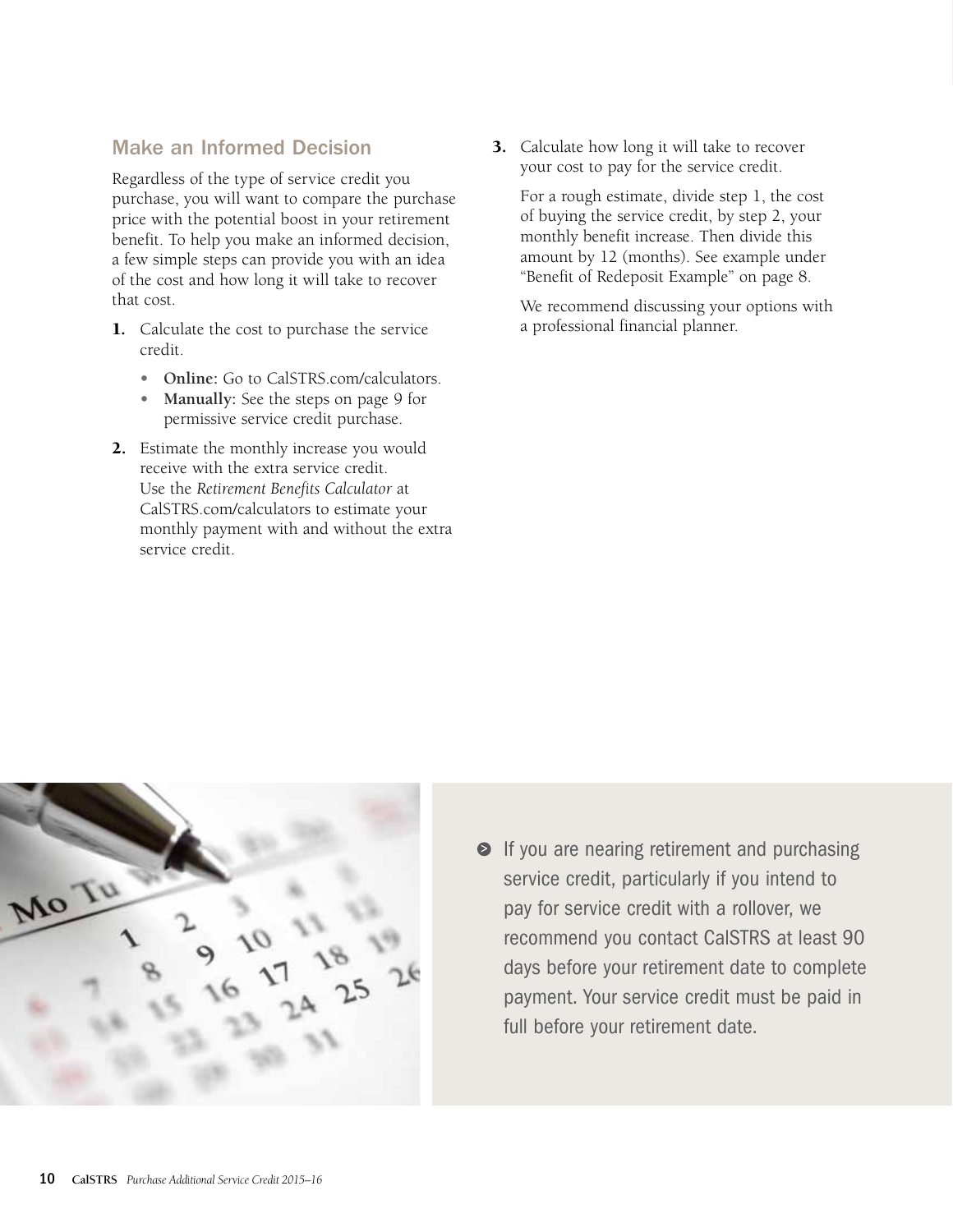# Make an Informed Decision

Regardless of the type of service credit you purchase, you will want to compare the purchase price with the potential boost in your retirement benefit. To help you make an informed decision, a few simple steps can provide you with an idea of the cost and how long it will take to recover that cost.

- 1. Calculate the cost to purchase the service credit.
	- **• Online:** Go to [CalSTRS.com/calculators](http://CalSTRS.com/calculators).
	- **• Manually:** [See the steps on page 9](#page-8-0) for permissive service credit purchase.
- 2. Estimate the monthly increase you would receive with the extra service credit. Use the *Retirement Benefits Calculator* at [CalSTRS.com/calculators](http://CalSTRS.com/calculators) to estimate your monthly payment with and without the extra service credit.

3. Calculate how long it will take to recover your cost to pay for the service credit.

For a rough estimate, divide step 1, the cost of buying the service credit, by step 2, your monthly benefit increase. Then divide this amount by 12 (months). See example under ["Benefit of Redeposit Example" on page 8.](#page-7-0)

We recommend discussing your options with a professional financial planner.



**If you are nearing retirement and purchasing** service credit, particularly if you intend to pay for service credit with a rollover, we recommend you contact CalSTRS at least 90 days before your retirement date to complete payment. Your service credit must be paid in full before your retirement date.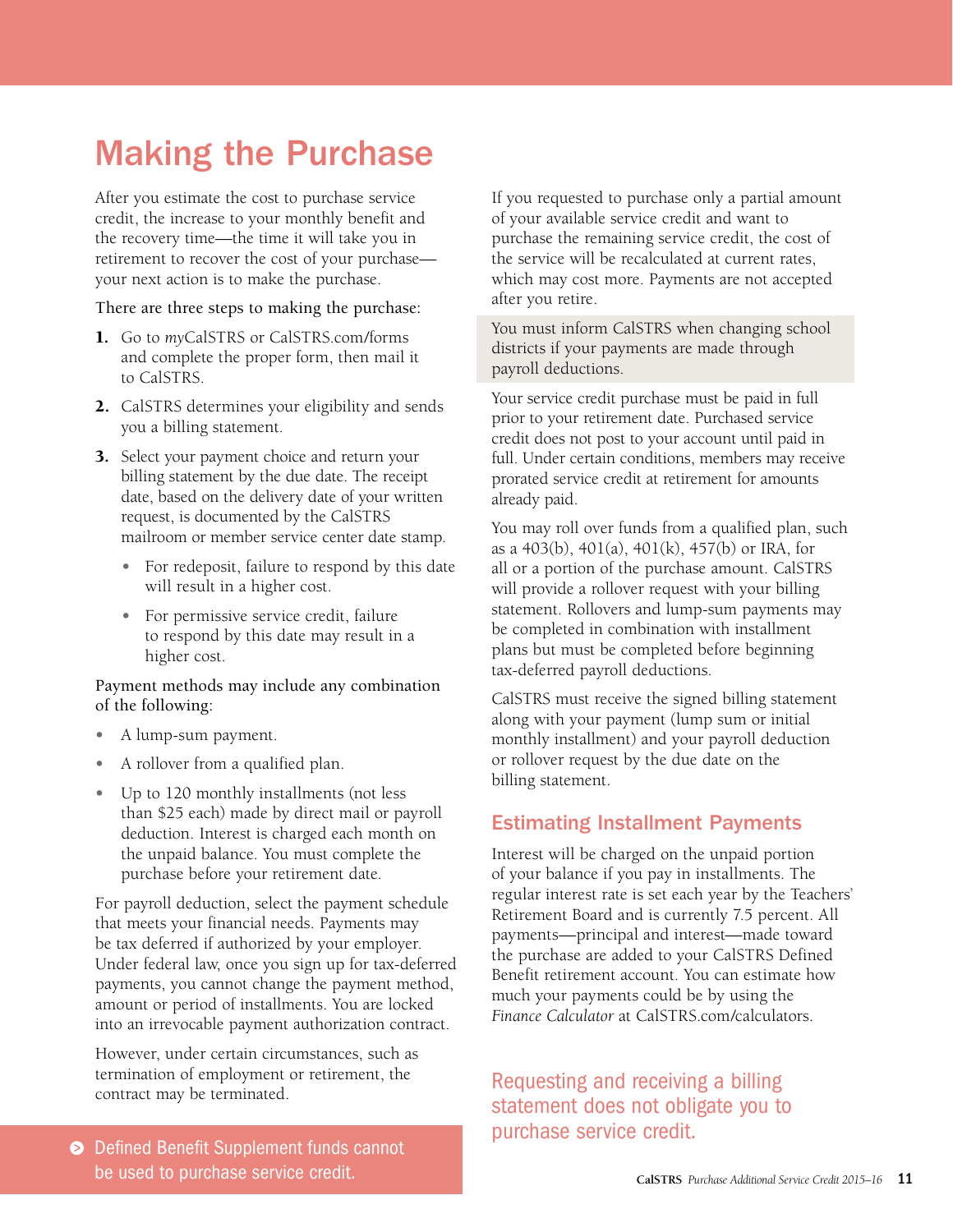# <span id="page-10-0"></span>Making the Purchase

After you estimate the cost to purchase service credit, the increase to your monthly benefit and the recovery time—the time it will take you in retirement to recover the cost of your purchase your next action is to make the purchase.

There are three steps to making the purchase:

- 1. Go to *my*[CalSTRS](http://myCalSTRS.com) or [CalSTRS.com/forms](http://CalSTRS.com/forms)  and complete the proper form, then mail it to CalSTRS.
- 2. CalSTRS determines your eligibility and sends you a billing statement.
- **3.** Select your payment choice and return your billing statement by the due date. The receipt date, based on the delivery date of your written request, is documented by the CalSTRS mailroom or member service center date stamp.
	- For redeposit, failure to respond by this date will result in a higher cost.
	- **•** For permissive service credit, failure to respond by this date may result in a higher cost.

Payment methods may include any combination of the following:

- **•** A lump-sum payment.
- **•** A rollover from a qualified plan.
- **•** Up to 120 monthly installments (not less than \$25 each) made by direct mail or payroll deduction. Interest is charged each month on the unpaid balance. You must complete the purchase before your retirement date.

For payroll deduction, select the payment schedule that meets your financial needs. Payments may be tax deferred if authorized by your employer. Under federal law, once you sign up for tax-deferred payments, you cannot change the payment method, amount or period of installments. You are locked into an irrevocable payment authorization contract.

However, under certain circumstances, such as termination of employment or retirement, the contract may be terminated.

If you requested to purchase only a partial amount of your available service credit and want to purchase the remaining service credit, the cost of the service will be recalculated at current rates, which may cost more. Payments are not accepted after you retire.

You must inform CalSTRS when changing school districts if your payments are made through payroll deductions.

Your service credit purchase must be paid in full prior to your retirement date. Purchased service credit does not post to your account until paid in full. Under certain conditions, members may receive prorated service credit at retirement for amounts already paid.

You may roll over funds from a qualified plan, such as a 403(b), 401(a), 401(k), 457(b) or IRA, for all or a portion of the purchase amount. CalSTRS will provide a rollover request with your billing statement. Rollovers and lump-sum payments may be completed in combination with installment plans but must be completed before beginning tax-deferred payroll deductions.

CalSTRS must receive the signed billing statement along with your payment (lump sum or initial monthly installment) and your payroll deduction or rollover request by the due date on the billing statement.

### Estimating Installment Payments

Interest will be charged on the unpaid portion of your balance if you pay in installments. The regular interest rate is set each year by the Teachers' Retirement Board and is currently 7.5 percent. All payments—principal and interest—made toward the purchase are added to your CalSTRS Defined Benefit retirement account. You can estimate how much your payments could be by using the *Finance Calculator* at CalSTRS com/calculators.

Requesting and receiving a billing statement does not obligate you to purchase service credit.